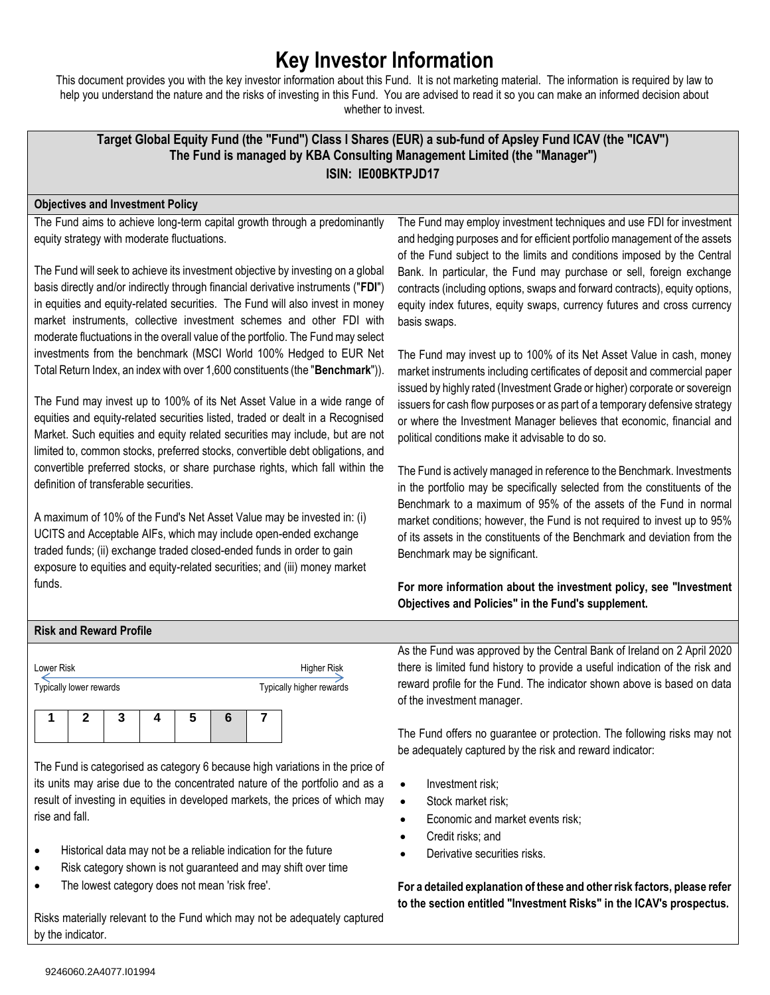# **Key Investor Information**

This document provides you with the key investor information about this Fund. It is not marketing material. The information is required by law to help you understand the nature and the risks of investing in this Fund. You are advised to read it so you can make an informed decision about whether to invest.

## **Target Global Equity Fund (the "Fund") Class I Shares (EUR) a sub-fund of Apsley Fund ICAV (the "ICAV") The Fund is managed by KBA Consulting Management Limited (the "Manager") ISIN: IE00BKTPJD17**

## **Objectives and Investment Policy**

The Fund aims to achieve long-term capital growth through a predominantly equity strategy with moderate fluctuations.

The Fund will seek to achieve its investment objective by investing on a global basis directly and/or indirectly through financial derivative instruments ("**FDI**") in equities and equity-related securities. The Fund will also invest in money market instruments, collective investment schemes and other FDI with moderate fluctuations in the overall value of the portfolio. The Fund may select investments from the benchmark (MSCI World 100% Hedged to EUR Net Total Return Index, an index with over 1,600 constituents (the "**Benchmark**")).

The Fund may invest up to 100% of its Net Asset Value in a wide range of equities and equity-related securities listed, traded or dealt in a Recognised Market. Such equities and equity related securities may include, but are not limited to, common stocks, preferred stocks, convertible debt obligations, and convertible preferred stocks, or share purchase rights, which fall within the definition of transferable securities.

A maximum of 10% of the Fund's Net Asset Value may be invested in: (i) UCITS and Acceptable AIFs, which may include open-ended exchange traded funds; (ii) exchange traded closed-ended funds in order to gain exposure to equities and equity-related securities; and (iii) money market funds.

The Fund may employ investment techniques and use FDI for investment and hedging purposes and for efficient portfolio management of the assets of the Fund subject to the limits and conditions imposed by the Central Bank. In particular, the Fund may purchase or sell, foreign exchange contracts (including options, swaps and forward contracts), equity options, equity index futures, equity swaps, currency futures and cross currency basis swaps.

The Fund may invest up to 100% of its Net Asset Value in cash, money market instruments including certificates of deposit and commercial paper issued by highly rated (Investment Grade or higher) corporate or sovereign issuers for cash flow purposes or as part of a temporary defensive strategy or where the Investment Manager believes that economic, financial and political conditions make it advisable to do so.

The Fund is actively managed in reference to the Benchmark. Investments in the portfolio may be specifically selected from the constituents of the Benchmark to a maximum of 95% of the assets of the Fund in normal market conditions; however, the Fund is not required to invest up to 95% of its assets in the constituents of the Benchmark and deviation from the Benchmark may be significant.

## **For more information about the investment policy, see "Investment Objectives and Policies" in the Fund's supplement.**

## **Risk and Reward Profile**

| Lower Risk<br>Typically lower rewards |   |   | <b>Higher Risk</b><br>Typically higher rewards |  |  |
|---------------------------------------|---|---|------------------------------------------------|--|--|
|                                       | З | 5 | 6                                              |  |  |

The Fund is categorised as category 6 because high variations in the price of its units may arise due to the concentrated nature of the portfolio and as a result of investing in equities in developed markets, the prices of which may rise and fall.

- Historical data may not be a reliable indication for the future
- Risk category shown is not guaranteed and may shift over time
- The lowest category does not mean 'risk free'.

Risks materially relevant to the Fund which may not be adequately captured by the indicator.

As the Fund was approved by the Central Bank of Ireland on 2 April 2020 there is limited fund history to provide a useful indication of the risk and reward profile for the Fund. The indicator shown above is based on data of the investment manager.

The Fund offers no guarantee or protection. The following risks may not be adequately captured by the risk and reward indicator:

- Investment risk:
- Stock market risk;
- Economic and market events risk;
- Credit risks: and
- Derivative securities risks.

**For a detailed explanation of these and other risk factors, please refer to the section entitled "Investment Risks" in the ICAV's prospectus.**